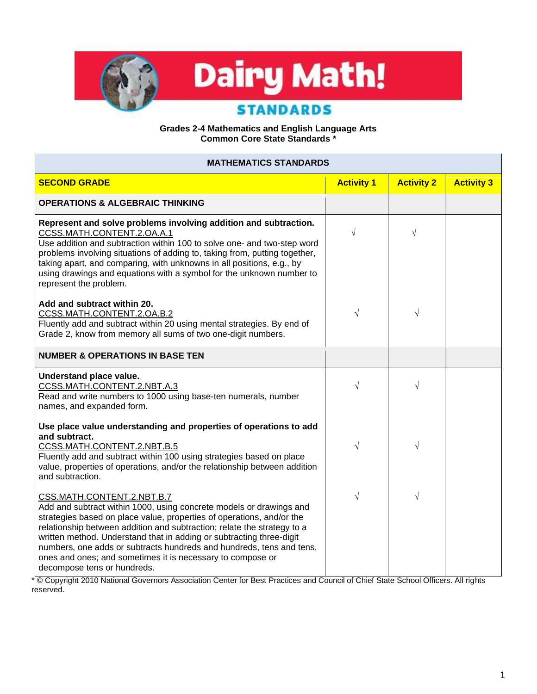

## **Grades 2-4 Mathematics and English Language Arts Common Core State Standards \***

| <b>MATHEMATICS STANDARDS</b>                                                                                                                                                                                                                                                                                                                                                                                                                                                                       |                   |                   |                   |
|----------------------------------------------------------------------------------------------------------------------------------------------------------------------------------------------------------------------------------------------------------------------------------------------------------------------------------------------------------------------------------------------------------------------------------------------------------------------------------------------------|-------------------|-------------------|-------------------|
| <b>SECOND GRADE</b>                                                                                                                                                                                                                                                                                                                                                                                                                                                                                | <b>Activity 1</b> | <b>Activity 2</b> | <b>Activity 3</b> |
| <b>OPERATIONS &amp; ALGEBRAIC THINKING</b>                                                                                                                                                                                                                                                                                                                                                                                                                                                         |                   |                   |                   |
| Represent and solve problems involving addition and subtraction.<br>CCSS.MATH.CONTENT.2.OA.A.1<br>Use addition and subtraction within 100 to solve one- and two-step word<br>problems involving situations of adding to, taking from, putting together,<br>taking apart, and comparing, with unknowns in all positions, e.g., by<br>using drawings and equations with a symbol for the unknown number to<br>represent the problem.                                                                 | $\sqrt{}$         | $\sqrt{}$         |                   |
| Add and subtract within 20.<br>CCSS.MATH.CONTENT.2.OA.B.2<br>Fluently add and subtract within 20 using mental strategies. By end of<br>Grade 2, know from memory all sums of two one-digit numbers.                                                                                                                                                                                                                                                                                                | $\sqrt{}$         | $\sqrt{}$         |                   |
| <b>NUMBER &amp; OPERATIONS IN BASE TEN</b>                                                                                                                                                                                                                                                                                                                                                                                                                                                         |                   |                   |                   |
| Understand place value.<br>CCSS.MATH.CONTENT.2.NBT.A.3<br>Read and write numbers to 1000 using base-ten numerals, number<br>names, and expanded form.                                                                                                                                                                                                                                                                                                                                              | $\sqrt{}$         | $\sqrt{}$         |                   |
| Use place value understanding and properties of operations to add<br>and subtract.<br>CCSS.MATH.CONTENT.2.NBT.B.5<br>Fluently add and subtract within 100 using strategies based on place<br>value, properties of operations, and/or the relationship between addition<br>and subtraction.                                                                                                                                                                                                         | $\sqrt{}$         | $\sqrt{}$         |                   |
| CSS.MATH.CONTENT.2.NBT.B.7<br>Add and subtract within 1000, using concrete models or drawings and<br>strategies based on place value, properties of operations, and/or the<br>relationship between addition and subtraction; relate the strategy to a<br>written method. Understand that in adding or subtracting three-digit<br>numbers, one adds or subtracts hundreds and hundreds, tens and tens,<br>ones and ones; and sometimes it is necessary to compose or<br>decompose tens or hundreds. | $\sqrt{}$         | $\sqrt{}$         |                   |

\* © Copyright 2010 National Governors Association Center for Best Practices and Council of Chief State School Officers. All rights reserved.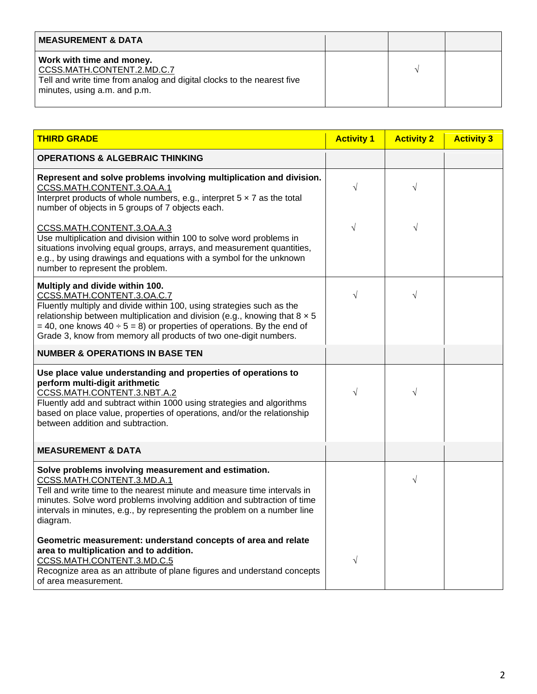| <b>MEASUREMENT &amp; DATA</b>                                                                                                                                     |  |  |
|-------------------------------------------------------------------------------------------------------------------------------------------------------------------|--|--|
| Work with time and money.<br>CCSS.MATH.CONTENT.2.MD.C.7<br>Tell and write time from analog and digital clocks to the nearest five<br>minutes, using a.m. and p.m. |  |  |

| <b>THIRD GRADE</b>                                                                                                                                                                                                                                                                                                                                                               | <b>Activity 1</b> | <b>Activity 2</b> | <b>Activity 3</b> |
|----------------------------------------------------------------------------------------------------------------------------------------------------------------------------------------------------------------------------------------------------------------------------------------------------------------------------------------------------------------------------------|-------------------|-------------------|-------------------|
| <b>OPERATIONS &amp; ALGEBRAIC THINKING</b>                                                                                                                                                                                                                                                                                                                                       |                   |                   |                   |
| Represent and solve problems involving multiplication and division.<br>CCSS.MATH.CONTENT.3.OA.A.1<br>Interpret products of whole numbers, e.g., interpret $5 \times 7$ as the total<br>number of objects in 5 groups of 7 objects each.                                                                                                                                          | $\sqrt{}$         | $\sqrt{}$         |                   |
| CCSS.MATH.CONTENT.3.OA.A.3<br>Use multiplication and division within 100 to solve word problems in<br>situations involving equal groups, arrays, and measurement quantities,<br>e.g., by using drawings and equations with a symbol for the unknown<br>number to represent the problem.                                                                                          | $\sqrt{}$         | V                 |                   |
| Multiply and divide within 100.<br>CCSS.MATH.CONTENT.3.OA.C.7<br>Fluently multiply and divide within 100, using strategies such as the<br>relationship between multiplication and division (e.g., knowing that $8 \times 5$<br>$=$ 40, one knows 40 $\div$ 5 = 8) or properties of operations. By the end of<br>Grade 3, know from memory all products of two one-digit numbers. | $\sqrt{}$         | $\sqrt{}$         |                   |
| <b>NUMBER &amp; OPERATIONS IN BASE TEN</b>                                                                                                                                                                                                                                                                                                                                       |                   |                   |                   |
| Use place value understanding and properties of operations to<br>perform multi-digit arithmetic<br>CCSS.MATH.CONTENT.3.NBT.A.2<br>Fluently add and subtract within 1000 using strategies and algorithms<br>based on place value, properties of operations, and/or the relationship<br>between addition and subtraction.                                                          | $\sqrt{}$         | $\sqrt{}$         |                   |
| <b>MEASUREMENT &amp; DATA</b>                                                                                                                                                                                                                                                                                                                                                    |                   |                   |                   |
| Solve problems involving measurement and estimation.<br>CCSS.MATH.CONTENT.3.MD.A.1<br>Tell and write time to the nearest minute and measure time intervals in<br>minutes. Solve word problems involving addition and subtraction of time<br>intervals in minutes, e.g., by representing the problem on a number line<br>diagram.                                                 |                   | $\sqrt{}$         |                   |
| Geometric measurement: understand concepts of area and relate<br>area to multiplication and to addition.<br>CCSS.MATH.CONTENT.3.MD.C.5<br>Recognize area as an attribute of plane figures and understand concepts<br>of area measurement.                                                                                                                                        | $\sqrt{}$         |                   |                   |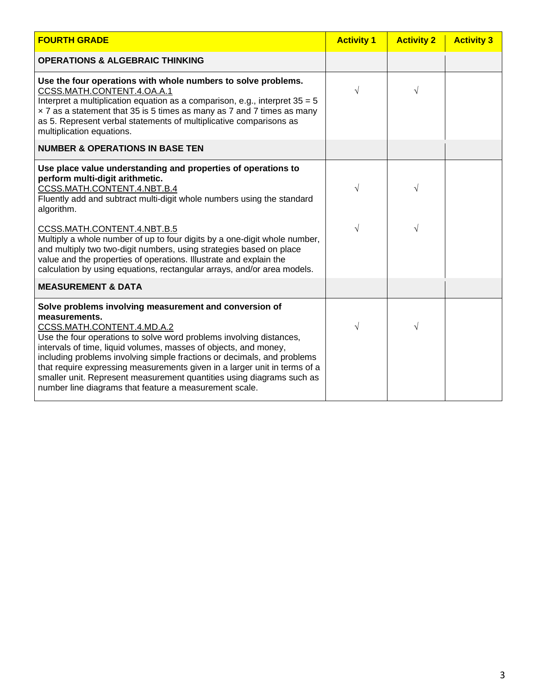| <b>FOURTH GRADE</b>                                                                                                                                                                                                                                                                                                                                                                                                                                                                                                                         | <b>Activity 1</b> | <b>Activity 2</b> | <b>Activity 3</b> |
|---------------------------------------------------------------------------------------------------------------------------------------------------------------------------------------------------------------------------------------------------------------------------------------------------------------------------------------------------------------------------------------------------------------------------------------------------------------------------------------------------------------------------------------------|-------------------|-------------------|-------------------|
| <b>OPERATIONS &amp; ALGEBRAIC THINKING</b>                                                                                                                                                                                                                                                                                                                                                                                                                                                                                                  |                   |                   |                   |
| Use the four operations with whole numbers to solve problems.<br>CCSS.MATH.CONTENT.4.OA.A.1<br>Interpret a multiplication equation as a comparison, e.g., interpret $35 = 5$<br>x 7 as a statement that 35 is 5 times as many as 7 and 7 times as many<br>as 5. Represent verbal statements of multiplicative comparisons as<br>multiplication equations.                                                                                                                                                                                   | $\sqrt{}$         | V                 |                   |
| <b>NUMBER &amp; OPERATIONS IN BASE TEN</b>                                                                                                                                                                                                                                                                                                                                                                                                                                                                                                  |                   |                   |                   |
| Use place value understanding and properties of operations to<br>perform multi-digit arithmetic.<br>CCSS.MATH.CONTENT.4.NBT.B.4<br>Fluently add and subtract multi-digit whole numbers using the standard<br>algorithm.                                                                                                                                                                                                                                                                                                                     | V                 |                   |                   |
| CCSS.MATH.CONTENT.4.NBT.B.5<br>Multiply a whole number of up to four digits by a one-digit whole number,<br>and multiply two two-digit numbers, using strategies based on place<br>value and the properties of operations. Illustrate and explain the<br>calculation by using equations, rectangular arrays, and/or area models.                                                                                                                                                                                                            | $\sqrt{}$         |                   |                   |
| <b>MEASUREMENT &amp; DATA</b>                                                                                                                                                                                                                                                                                                                                                                                                                                                                                                               |                   |                   |                   |
| Solve problems involving measurement and conversion of<br>measurements.<br>CCSS.MATH.CONTENT.4.MD.A.2<br>Use the four operations to solve word problems involving distances,<br>intervals of time, liquid volumes, masses of objects, and money,<br>including problems involving simple fractions or decimals, and problems<br>that require expressing measurements given in a larger unit in terms of a<br>smaller unit. Represent measurement quantities using diagrams such as<br>number line diagrams that feature a measurement scale. | V                 |                   |                   |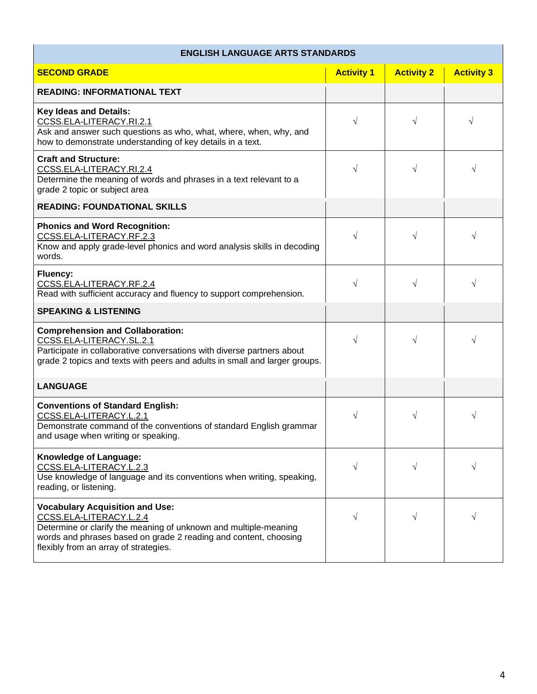## **ENGLISH LANGUAGE ARTS STANDARDS**

| <b>SECOND GRADE</b>                                                                                                                                                                                                                                | <b>Activity 1</b> | <b>Activity 2</b> | <b>Activity 3</b> |
|----------------------------------------------------------------------------------------------------------------------------------------------------------------------------------------------------------------------------------------------------|-------------------|-------------------|-------------------|
| <b>READING: INFORMATIONAL TEXT</b>                                                                                                                                                                                                                 |                   |                   |                   |
| <b>Key Ideas and Details:</b><br>CCSS.ELA-LITERACY.RI.2.1<br>Ask and answer such questions as who, what, where, when, why, and<br>how to demonstrate understanding of key details in a text.                                                       | $\sqrt{}$         | $\sqrt{}$         | V                 |
| <b>Craft and Structure:</b><br>CCSS.ELA-LITERACY.RI.2.4<br>Determine the meaning of words and phrases in a text relevant to a<br>grade 2 topic or subject area                                                                                     | $\sqrt{}$         | $\sqrt{}$         |                   |
| <b>READING: FOUNDATIONAL SKILLS</b>                                                                                                                                                                                                                |                   |                   |                   |
| <b>Phonics and Word Recognition:</b><br>CCSS.ELA-LITERACY.RF.2.3<br>Know and apply grade-level phonics and word analysis skills in decoding<br>words.                                                                                              | $\sqrt{}$         | $\sqrt{}$         | V                 |
| Fluency:<br>CCSS.ELA-LITERACY.RF.2.4<br>Read with sufficient accuracy and fluency to support comprehension.                                                                                                                                        | $\sqrt{}$         | $\sqrt{}$         | V                 |
| <b>SPEAKING &amp; LISTENING</b>                                                                                                                                                                                                                    |                   |                   |                   |
| <b>Comprehension and Collaboration:</b><br>CCSS.ELA-LITERACY.SL.2.1<br>Participate in collaborative conversations with diverse partners about<br>grade 2 topics and texts with peers and adults in small and larger groups.                        | $\sqrt{}$         | $\sqrt{}$         | V                 |
| <b>LANGUAGE</b>                                                                                                                                                                                                                                    |                   |                   |                   |
| <b>Conventions of Standard English:</b><br>CCSS.ELA-LITERACY.L.2.1<br>Demonstrate command of the conventions of standard English grammar<br>and usage when writing or speaking.                                                                    | $\sqrt{}$         | $\sqrt{}$         | V                 |
| <b>Knowledge of Language:</b><br>CCSS.ELA-LITERACY.L.2.3<br>Use knowledge of language and its conventions when writing, speaking,<br>reading, or listening.                                                                                        | V                 |                   |                   |
| <b>Vocabulary Acquisition and Use:</b><br>CCSS.ELA-LITERACY.L.2.4<br>Determine or clarify the meaning of unknown and multiple-meaning<br>words and phrases based on grade 2 reading and content, choosing<br>flexibly from an array of strategies. | $\sqrt{}$         | $\sqrt{}$         |                   |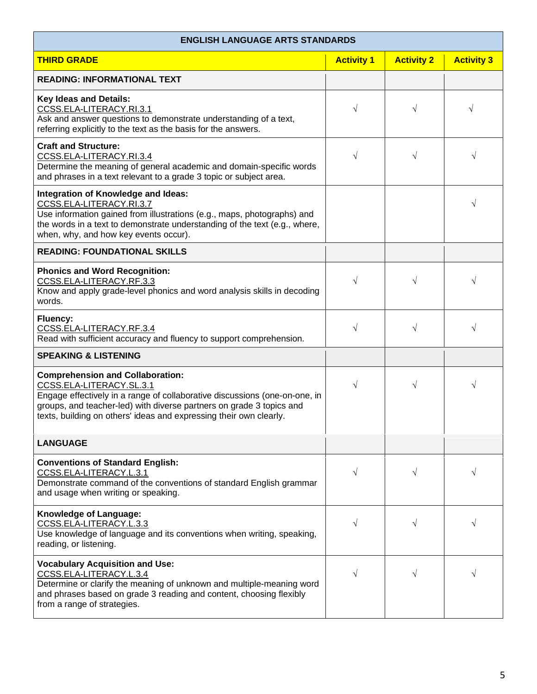## **ENGLISH LANGUAGE ARTS STANDARDS**

 $\mathbf{r}$ 

| <b>THIRD GRADE</b>                                                                                                                                                                                                                                                                              | <b>Activity 1</b> | <b>Activity 2</b> | <b>Activity 3</b> |
|-------------------------------------------------------------------------------------------------------------------------------------------------------------------------------------------------------------------------------------------------------------------------------------------------|-------------------|-------------------|-------------------|
| <b>READING: INFORMATIONAL TEXT</b>                                                                                                                                                                                                                                                              |                   |                   |                   |
| <b>Key Ideas and Details:</b><br>CCSS.ELA-LITERACY.RI.3.1<br>Ask and answer questions to demonstrate understanding of a text,<br>referring explicitly to the text as the basis for the answers.                                                                                                 | V                 | $\sqrt{ }$        | $\sqrt{}$         |
| <b>Craft and Structure:</b><br>CCSS.ELA-LITERACY.RI.3.4<br>Determine the meaning of general academic and domain-specific words<br>and phrases in a text relevant to a grade 3 topic or subject area.                                                                                            | V                 | $\sqrt{ }$        |                   |
| Integration of Knowledge and Ideas:<br>CCSS.ELA-LITERACY.RI.3.7<br>Use information gained from illustrations (e.g., maps, photographs) and<br>the words in a text to demonstrate understanding of the text (e.g., where,<br>when, why, and how key events occur).                               |                   |                   | V                 |
| <b>READING: FOUNDATIONAL SKILLS</b>                                                                                                                                                                                                                                                             |                   |                   |                   |
| <b>Phonics and Word Recognition:</b><br>CCSS.ELA-LITERACY.RF.3.3<br>Know and apply grade-level phonics and word analysis skills in decoding<br>words.                                                                                                                                           | V                 | $\sqrt{}$         |                   |
| <b>Fluency:</b><br>CCSS.ELA-LITERACY.RF.3.4<br>Read with sufficient accuracy and fluency to support comprehension.                                                                                                                                                                              | $\sqrt{}$         | $\sqrt{ }$        |                   |
| <b>SPEAKING &amp; LISTENING</b>                                                                                                                                                                                                                                                                 |                   |                   |                   |
| <b>Comprehension and Collaboration:</b><br>CCSS.ELA-LITERACY.SL.3.1<br>Engage effectively in a range of collaborative discussions (one-on-one, in<br>groups, and teacher-led) with diverse partners on grade 3 topics and<br>texts, building on others' ideas and expressing their own clearly. | $\sqrt{}$         | $\sqrt{ }$        |                   |
| <b>LANGUAGE</b>                                                                                                                                                                                                                                                                                 |                   |                   |                   |
| <b>Conventions of Standard English:</b><br>CCSS.ELA-LITERACY.L.3.1<br>Demonstrate command of the conventions of standard English grammar<br>and usage when writing or speaking.                                                                                                                 | $\sqrt{}$         | $\sqrt{}$         | V                 |
| Knowledge of Language:<br>CCSS.ELA-LITERACY.L.3.3<br>Use knowledge of language and its conventions when writing, speaking,<br>reading, or listening.                                                                                                                                            | $\sqrt{}$         | $\sqrt{}$         | V                 |
| <b>Vocabulary Acquisition and Use:</b><br>CCSS.ELA-LITERACY.L.3.4<br>Determine or clarify the meaning of unknown and multiple-meaning word<br>and phrases based on grade 3 reading and content, choosing flexibly<br>from a range of strategies.                                                | $\sqrt{}$         | $\sqrt{}$         | V                 |